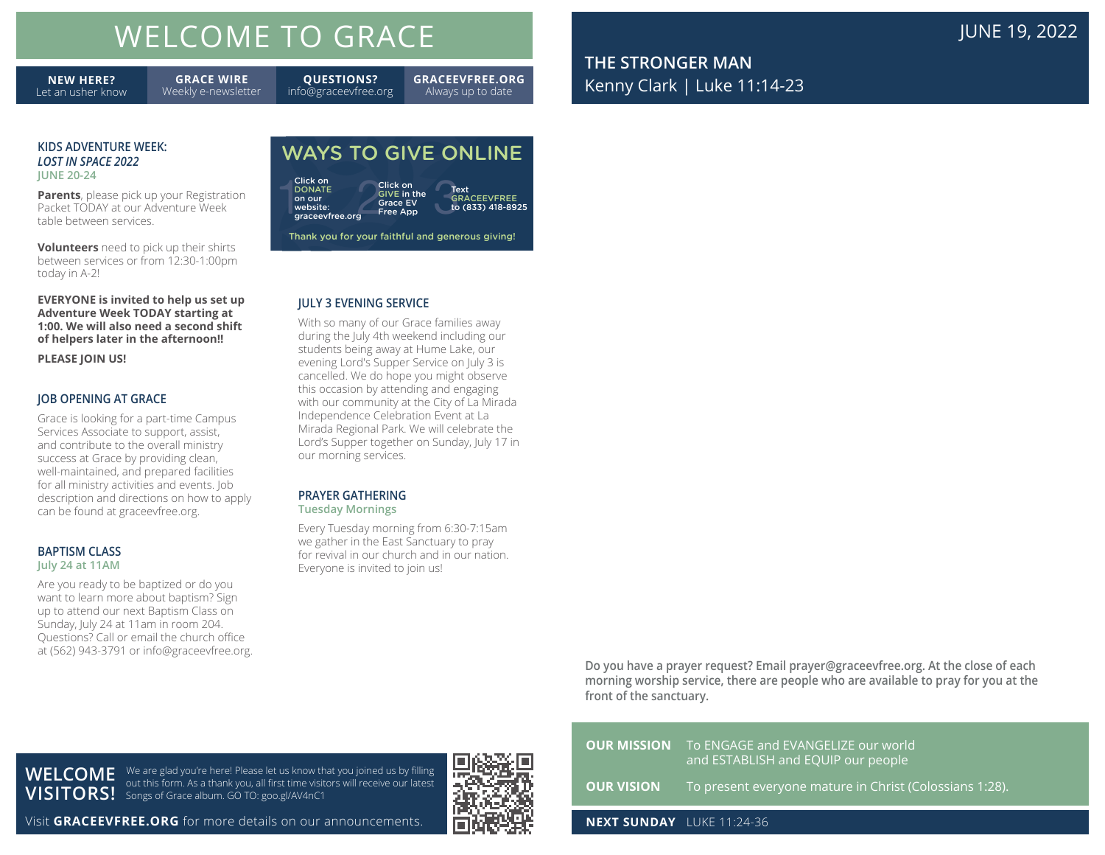# WELCOME TO GRACE **The COME TO GRACE JUNE 19, 2022**

**NEW HERE?** Let an usher know

**GRACE WIRE** Weekly e-newsletter info@graceevfree.org

**QUESTIONS?**

**GRACEEVFREE.ORG** Always up to date

**THE STRONGER MAN** Kenny Clark | Luke 11:14-23

#### **KIDS ADVENTURE WEEK:** *LOST IN SPACE 2022* **JUNE 20-24**

**Parents**, please pick up your Registration Packet TODAY at our Adventure Week table between services.

**Volunteers** need to pick up their shirts between services or from 12:30-1:00pm today in A-2!

**EVERYONE is invited to help us set up Adventure Week TODAY starting at 1:00. We will also need a second shift of helpers later in the afternoon!!** 

**PLEASE JOIN US!**

#### **JOB OPENING AT GRACE**

Grace is looking for a part-time Campus Services Associate to support, assist, and contribute to the overall ministry success at Grace by providing clean, well-maintained, and prepared facilities for all ministry activities and events. Job description and directions on how to apply can be found at graceevfree.org.

#### **BAPTISM CLASS July 24 at 11AM**

Are you ready to be baptized or do you want to learn more about baptism? Sign up to attend our next Baptism Class on Sunday, July 24 at 11am in room 204. Questions? Call or email the church office at (562) 943-3791 or info@graceevfree.org.

## WAYS TO GIVE ONLINE

| Click on<br><b>DONATE</b><br>on our<br>website:<br>graceevfree.org | Click on<br><b>GIVE in the</b><br><b>Grace EV</b><br><b>Free App</b> | Text<br><b>GRACEEVFREE</b><br>to (833) 418-8925 |
|--------------------------------------------------------------------|----------------------------------------------------------------------|-------------------------------------------------|
|--------------------------------------------------------------------|----------------------------------------------------------------------|-------------------------------------------------|

Thank you for your faithful and generous giving!

#### **JULY 3 EVENING SERVICE**

With so many of our Grace families away during the July 4th weekend including our students being away at Hume Lake, our evening Lord's Supper Service on July 3 is cancelled. We do hope you might observe this occasion by attending and engaging with our community at the City of La Mirada Independence Celebration Event at La Mirada Regional Park. We will celebrate the Lord's Supper together on Sunday, July 17 in our morning services.

### **PRAYER GATHERING**

**Tuesday Mornings**

Every Tuesday morning from 6:30-7:15am we gather in the East Sanctuary to pray for revival in our church and in our nation. Everyone is invited to join us!

## **OUR MISSION** To ENGAGE and EVANGELIZE our world and ESTABLISH and EQUIP our people **OUR VISION** To present everyone mature in Christ (Colossians 1:28).

**Do you have a prayer request? Email prayer@graceevfree.org. At the close of each morning worship service, there are people who are available to pray for you at the** 

**NEXT SUNDAY** LUKE 11:24-36

**front of the sanctuary.** 

**WELCOME**  We are glad you're here! Please let us know that you joined us by filling **VISITORS!** Songs of Grace album. GO TO: goo.gl/AV4nC1 out this form. As a thank you, all first time visitors will receive our latest

Visit **GRACEEVFREE.ORG** for more details on our announcements.